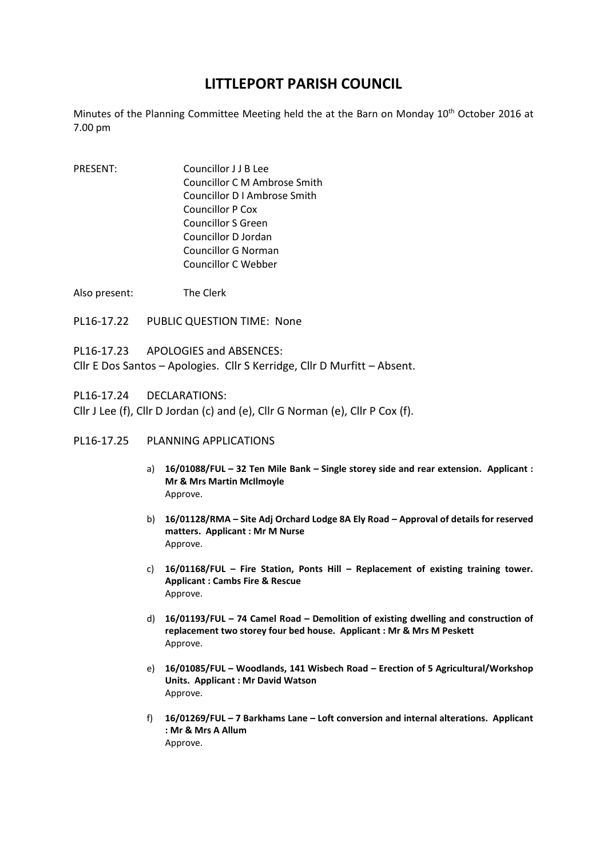## **LITTLEPORT PARISH COUNCIL**

Minutes of the Planning Committee Meeting held the at the Barn on Monday 10<sup>th</sup> October 2016 at 7.00 pm

- PRESENT: Councillor J J B Lee Councillor C M Ambrose Smith Councillor D I Ambrose Smith Councillor P Cox Councillor S Green Councillor D Jordan Councillor G Norman Councillor C Webber
- Also present: The Clerk
- PL16-17.22 PUBLIC QUESTION TIME: None

PL16-17.23 APOLOGIES and ABSENCES: Cllr E Dos Santos – Apologies. Cllr S Kerridge, Cllr D Murfitt – Absent.

PL16-17.24 DECLARATIONS: Cllr J Lee (f), Cllr D Jordan (c) and (e), Cllr G Norman (e), Cllr P Cox (f).

- PL16-17.25 PLANNING APPLICATIONS
	- a) **16/01088/FUL – 32 Ten Mile Bank – Single storey side and rear extension. Applicant : Mr & Mrs Martin McIlmoyle** Approve.
	- b) **16/01128/RMA – Site Adj Orchard Lodge 8A Ely Road – Approval of details for reserved matters. Applicant : Mr M Nurse** Approve.
	- c) **16/01168/FUL – Fire Station, Ponts Hill – Replacement of existing training tower. Applicant : Cambs Fire & Rescue** Approve.
	- d) **16/01193/FUL – 74 Camel Road – Demolition of existing dwelling and construction of replacement two storey four bed house. Applicant : Mr & Mrs M Peskett** Approve.
	- e) **16/01085/FUL – Woodlands, 141 Wisbech Road – Erection of 5 Agricultural/Workshop Units. Applicant : Mr David Watson** Approve.
	- f) **16/01269/FUL – 7 Barkhams Lane – Loft conversion and internal alterations. Applicant : Mr & Mrs A Allum** Approve.